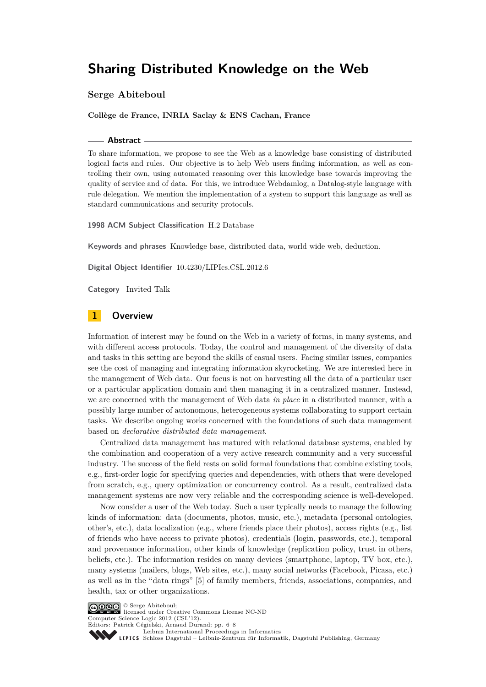# **Sharing Distributed Knowledge on the Web**

# **Serge Abiteboul**

#### **Collège de France, INRIA Saclay & ENS Cachan, France**

#### **Abstract**

To share information, we propose to see the Web as a knowledge base consisting of distributed logical facts and rules. Our objective is to help Web users finding information, as well as controlling their own, using automated reasoning over this knowledge base towards improving the quality of service and of data. For this, we introduce Webdamlog, a Datalog-style language with rule delegation. We mention the implementation of a system to support this language as well as standard communications and security protocols.

**1998 ACM Subject Classification** H.2 Database

**Keywords and phrases** Knowledge base, distributed data, world wide web, deduction.

**Digital Object Identifier** [10.4230/LIPIcs.CSL.2012.6](http://dx.doi.org/10.4230/LIPIcs.CSL.2012.6)

**Category** Invited Talk

# **1 Overview**

Information of interest may be found on the Web in a variety of forms, in many systems, and with different access protocols. Today, the control and management of the diversity of data and tasks in this setting are beyond the skills of casual users. Facing similar issues, companies see the cost of managing and integrating information skyrocketing. We are interested here in the management of Web data. Our focus is not on harvesting all the data of a particular user or a particular application domain and then managing it in a centralized manner. Instead, we are concerned with the management of Web data *in place* in a distributed manner, with a possibly large number of autonomous, heterogeneous systems collaborating to support certain tasks. We describe ongoing works concerned with the foundations of such data management based on *declarative distributed data management*.

Centralized data management has matured with relational database systems, enabled by the combination and cooperation of a very active research community and a very successful industry. The success of the field rests on solid formal foundations that combine existing tools, e.g., first-order logic for specifying queries and dependencies, with others that were developed from scratch, e.g., query optimization or concurrency control. As a result, centralized data management systems are now very reliable and the corresponding science is well-developed.

Now consider a user of the Web today. Such a user typically needs to manage the following kinds of information: data (documents, photos, music, etc.), metadata (personal ontologies, other's, etc.), data localization (e.g., where friends place their photos), access rights (e.g., list of friends who have access to private photos), credentials (login, passwords, etc.), temporal and provenance information, other kinds of knowledge (replication policy, trust in others, beliefs, etc.). The information resides on many devices (smartphone, laptop, TV box, etc.), many systems (mailers, blogs, Web sites, etc.), many social networks (Facebook, Picasa, etc.) as well as in the "data rings" [\[5\]](#page-2-0) of family members, friends, associations, companies, and health, tax or other organizations.

© Serge Abiteboul; licensed under Creative Commons License NC-ND Computer Science Logic 2012 (CSL'12). Editors: Patrick Cégielski, Arnaud Durand; pp. 6[–8](#page-2-1) [Leibniz International Proceedings in Informatics](http://www.dagstuhl.de/lipics/)

Leibniz international ruceedings in miorimetric<br>
LIPICS [Schloss Dagstuhl – Leibniz-Zentrum für Informatik, Dagstuhl Publishing, Germany](http://www.dagstuhl.de)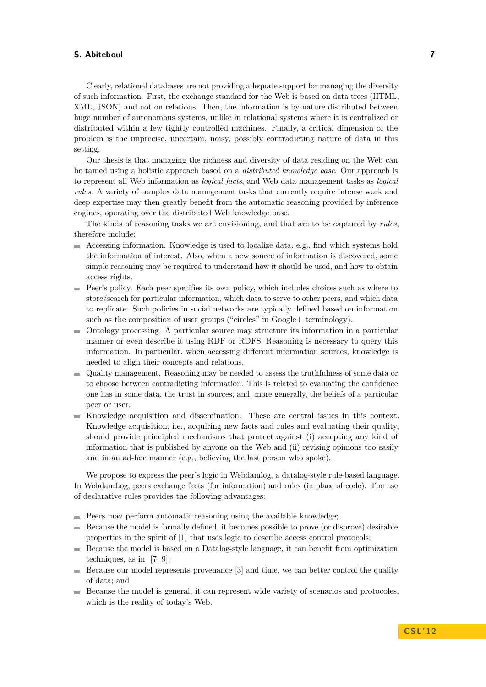## **S. Abiteboul 7**

Clearly, relational databases are not providing adequate support for managing the diversity of such information. First, the exchange standard for the Web is based on data trees (HTML, XML, JSON) and not on relations. Then, the information is by nature distributed between huge number of autonomous systems, unlike in relational systems where it is centralized or distributed within a few tightly controlled machines. Finally, a critical dimension of the problem is the imprecise, uncertain, noisy, possibly contradicting nature of data in this setting.

Our thesis is that managing the richness and diversity of data residing on the Web can be tamed using a holistic approach based on a *distributed knowledge base*. Our approach is to represent all Web information as *logical facts*, and Web data management tasks as *logical rules*. A variety of complex data management tasks that currently require intense work and deep expertise may then greatly benefit from the automatic reasoning provided by inference engines, operating over the distributed Web knowledge base.

The kinds of reasoning tasks we are envisioning, and that are to be captured by *rules*, therefore include:

- $\blacksquare$  Accessing information. Knowledge is used to localize data, e.g., find which systems hold the information of interest. Also, when a new source of information is discovered, some simple reasoning may be required to understand how it should be used, and how to obtain access rights.
- Peer's policy. Each peer specifies its own policy, which includes choices such as where to store/search for particular information, which data to serve to other peers, and which data to replicate. Such policies in social networks are typically defined based on information such as the composition of user groups ("circles" in Google+ terminology).
- Ontology processing. A particular source may structure its information in a particular  $\mathcal{L}_{\text{max}}$ manner or even describe it using RDF or RDFS. Reasoning is necessary to query this information. In particular, when accessing different information sources, knowledge is needed to align their concepts and relations.
- Quality management. Reasoning may be needed to assess the truthfulness of some data or to choose between contradicting information. This is related to evaluating the confidence one has in some data, the trust in sources, and, more generally, the beliefs of a particular peer or user.
- Knowledge acquisition and dissemination. These are central issues in this context. Knowledge acquisition, i.e., acquiring new facts and rules and evaluating their quality, should provide principled mechanisms that protect against (i) accepting any kind of information that is published by anyone on the Web and (ii) revising opinions too easily and in an ad-hoc manner (e.g., believing the last person who spoke).

We propose to express the peer's logic in Webdamlog, a datalog-style rule-based language. In WebdamLog, peers exchange facts (for information) and rules (in place of code). The use of declarative rules provides the following advantages:

- $\blacksquare$  Peers may perform automatic reasoning using the available knowledge;
- $\mathbf{m}^{\prime}$ Because the model is formally defined, it becomes possible to prove (or disprove) desirable properties in the spirit of [\[1\]](#page-2-2) that uses logic to describe access control protocols;
- Because the model is based on a Datalog-style language, it can benefit from optimization  $\overline{\phantom{a}}$ techniques, as in [\[7,](#page-2-3) [9\]](#page-2-4);
- Because our model represents provenance [\[3\]](#page-2-5) and time, we can better control the quality m. of data; and
- Because the model is general, it can represent wide variety of scenarios and protocoles, which is the reality of today's Web.